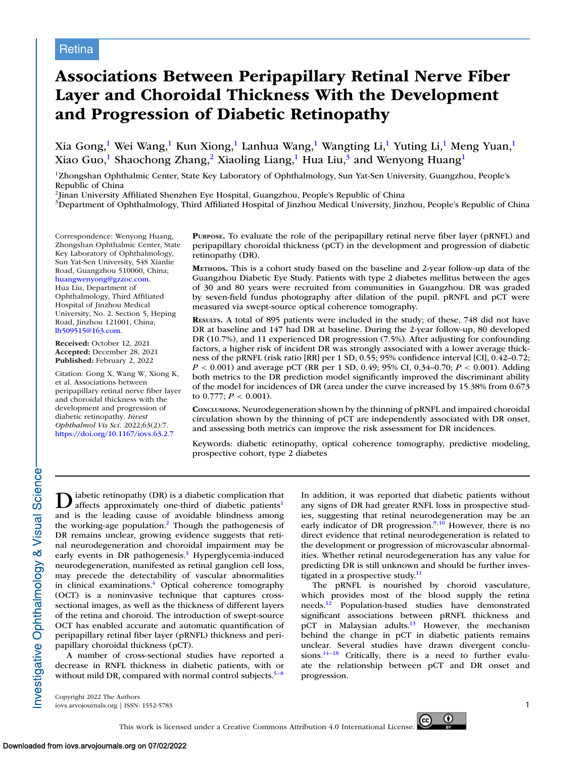# **Associations Between Peripapillary Retinal Nerve Fiber Layer and Choroidal Thickness With the Development and Progression of Diabetic Retinopathy**

Xia Gong,<sup>1</sup> Wei Wang,<sup>1</sup> Kun Xiong,<sup>1</sup> Lanhua Wang,<sup>1</sup> Wangting Li,<sup>1</sup> Yuting Li,<sup>1</sup> Meng Yuan,<sup>1</sup> Xiao Guo,<sup>1</sup> Shaochong Zhang,<sup>2</sup> Xiaoling Liang,<sup>1</sup> Hua Liu,<sup>3</sup> and Wenyong Huang<sup>1</sup>

1Zhongshan Ophthalmic Center, State Key Laboratory of Ophthalmology, Sun Yat-Sen University, Guangzhou, People's Republic of China

2Jinan University Affiliated Shenzhen Eye Hospital, Guangzhou, People's Republic of China

<sup>3</sup>Department of Ophthalmology, Third Affiliated Hospital of Jinzhou Medical University, Jinzhou, People's Republic of China

Correspondence: Wenyong Huang, Zhongshan Ophthalmic Center, State Key Laboratory of Ophthalmology, Sun Yat-Sen University, 54S Xianlie Road, Guangzhou 510060, China; [huangwenyong@gzzoc.com.](mailto:huangwenyong@gzzoc.com.) Hua Liu, Department of Ophthalmology, Third Affiliated Hospital of Jinzhou Medical University, No. 2. Section 5, Heping Road, Jinzhou 121001, China; [lh509515@163.com.](mailto:lh509515@163.com.)

**Received:** October 12, 2021 **Accepted:** December 28, 2021 **Published:** February 2, 2022

Citation: Gong X, Wang W, Xiong K, et al. Associations between peripapillary retinal nerve fiber layer and choroidal thickness with the development and progression of diabetic retinopathy. *Invest Ophthalmol Vis Sci.* 2022;63(2):7. <https://doi.org/10.1167/iovs.63.2.7>

**PURPOSE.** To evaluate the role of the peripapillary retinal nerve fiber layer (pRNFL) and peripapillary choroidal thickness (pCT) in the development and progression of diabetic retinopathy (DR).

**METHODS.** This is a cohort study based on the baseline and 2-year follow-up data of the Guangzhou Diabetic Eye Study. Patients with type 2 diabetes mellitus between the ages of 30 and 80 years were recruited from communities in Guangzhou. DR was graded by seven-field fundus photography after dilation of the pupil. pRNFL and pCT were measured via swept-source optical coherence tomography.

**RESULTS.** A total of 895 patients were included in the study; of these, 748 did not have DR at baseline and 147 had DR at baseline. During the 2-year follow-up, 80 developed DR (10.7%), and 11 experienced DR progression (7.5%). After adjusting for confounding factors, a higher risk of incident DR was strongly associated with a lower average thickness of the pRNFL (risk ratio [RR] per 1 SD, 0.55; 95% confidence interval [CI], 0.42–0.72; *P* < 0.001) and average pCT (RR per 1 SD, 0.49; 95% CI, 0.34–0.70; *P* < 0.001). Adding both metrics to the DR prediction model significantly improved the discriminant ability of the model for incidences of DR (area under the curve increased by 15.38% from 0.673 to 0.777;  $P < 0.001$ ).

**CONCLUSIONS.** Neurodegeneration shown by the thinning of pRNFL and impaired choroidal circulation shown by the thinning of pCT are independently associated with DR onset, and assessing both metrics can improve the risk assessment for DR incidences.

Keywords: diabetic retinopathy, optical coherence tomography, predictive modeling, prospective cohort, type 2 diabetes

**D** iabetic retinopathy (DR) is a diabetic complication that affects approximately one-third of diabetic patients<sup>1</sup> and is the leading cause of avoidable blindness among the working-age population[.2](#page-5-0) Though the pathogenesis of DR remains unclear, growing evidence suggests that retinal neurodegeneration and choroidal impairment may be early events in DR pathogenesis. $3$  Hyperglycemia-induced neurodegeneration, manifested as retinal ganglion cell loss, may precede the detectability of vascular abnormalities in clinical examinations.<sup>4</sup> Optical coherence tomography (OCT) is a noninvasive technique that captures crosssectional images, as well as the thickness of different layers of the retina and choroid. The introduction of swept-source OCT has enabled accurate and automatic quantification of peripapillary retinal fiber layer (pRNFL) thickness and peripapillary choroidal thickness (pCT).

A number of cross-sectional studies have reported a decrease in RNFL thickness in diabetic patients, with or without mild DR, compared with normal control subjects. $5-8$  In addition, it was reported that diabetic patients without any signs of DR had greater RNFL loss in prospective studies, suggesting that retinal neurodegeneration may be an early indicator of DR progression. $9,10$  However, there is no direct evidence that retinal neurodegeneration is related to the development or progression of microvascular abnormalities. Whether retinal neurodegeneration has any value for predicting DR is still unknown and should be further investigated in a prospective study.<sup>11</sup>

The pRNFL is nourished by choroid vasculature, which provides most of the blood supply the retina needs[.12](#page-6-0) Population-based studies have demonstrated significant associations between pRNFL thickness and pCT in Malaysian adults. $13$  However, the mechanism behind the change in pCT in diabetic patients remains unclear. Several studies have drawn divergent conclusions.<sup>14-18</sup> Critically, there is a need to further evaluate the relationship between pCT and DR onset and progression.

Copyright 2022 The Authors iovs.arvojournals.org | ISSN: 1552-5783 1

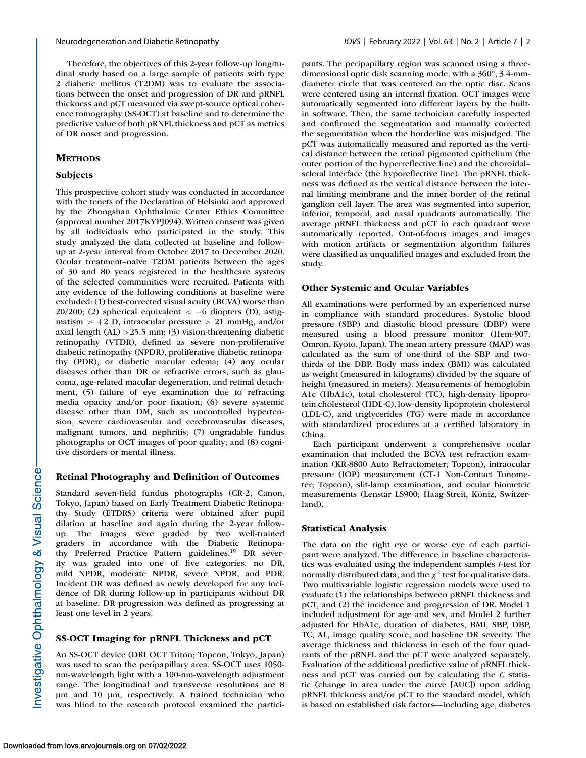Therefore, the objectives of this 2-year follow-up longitudinal study based on a large sample of patients with type 2 diabetic mellitus (T2DM) was to evaluate the associations between the onset and progression of DR and pRNFL thickness and pCT measured via swept-source optical coherence tomography (SS-OCT) at baseline and to determine the predictive value of both pRNFL thickness and pCT as metrics of DR onset and progression.

# **METHODS**

# **Subjects**

This prospective cohort study was conducted in accordance with the tenets of the Declaration of Helsinki and approved by the Zhongshan Ophthalmic Center Ethics Committee (approval number 2017KYPJ094). Written consent was given by all individuals who participated in the study. This study analyzed the data collected at baseline and followup at 2-year interval from October 2017 to December 2020. Ocular treatment–naïve T2DM patients between the ages of 30 and 80 years registered in the healthcare systems of the selected communities were recruited. Patients with any evidence of the following conditions at baseline were excluded: (1) best-corrected visual acuity (BCVA) worse than 20/200; (2) spherical equivalent  $\lt$  -6 diopters (D), astigmatism  $> +2$  D, intraocular pressure  $> 21$  mmHg, and/or axial length (AL) >25.5 mm; (3) vision-threatening diabetic retinopathy (VTDR), defined as severe non-proliferative diabetic retinopathy (NPDR), proliferative diabetic retinopathy (PDR), or diabetic macular edema; (4) any ocular diseases other than DR or refractive errors, such as glaucoma, age-related macular degeneration, and retinal detachment; (5) failure of eye examination due to refracting media opacity and/or poor fixation; (6) severe systemic disease other than DM, such as uncontrolled hypertension, severe cardiovascular and cerebrovascular diseases, malignant tumors, and nephritis; (7) ungradable fundus photographs or OCT images of poor quality; and (8) cognitive disorders or mental illness.

# **Retinal Photography and Definition of Outcomes**

Standard seven-field fundus photographs (CR-2; Canon, Tokyo, Japan) based on Early Treatment Diabetic Retinopathy Study (ETDRS) criteria were obtained after pupil dilation at baseline and again during the 2-year followup. The images were graded by two well-trained graders in accordance with the Diabetic Retinopathy Preferred Practice Pattern guidelines.<sup>19</sup> DR severity was graded into one of five categories: no DR, mild NPDR, moderate NPDR, severe NPDR, and PDR. Incident DR was defined as newly developed for any incidence of DR during follow-up in participants without DR at baseline. DR progression was defined as progressing at least one level in 2 years.

## **SS-OCT Imaging for pRNFL Thickness and pCT**

An SS-OCT device (DRI OCT Triton; Topcon, Tokyo, Japan) was used to scan the peripapillary area. SS-OCT uses 1050 nm-wavelength light with a 100-nm-wavelength adjustment range. The longitudinal and transverse resolutions are 8 μm and 10 μm, respectively. A trained technician who was blind to the research protocol examined the participants. The peripapillary region was scanned using a threedimensional optic disk scanning mode, with a 360°, 3.4-mmdiameter circle that was centered on the optic disc. Scans were centered using an internal fixation. OCT images were automatically segmented into different layers by the builtin software. Then, the same technician carefully inspected and confirmed the segmentation and manually corrected the segmentation when the borderline was misjudged. The pCT was automatically measured and reported as the vertical distance between the retinal pigmented epithelium (the outer portion of the hyperreflective line) and the choroidal– scleral interface (the hyporeflective line). The pRNFL thickness was defined as the vertical distance between the internal limiting membrane and the inner border of the retinal ganglion cell layer. The area was segmented into superior, inferior, temporal, and nasal quadrants automatically. The average pRNFL thickness and pCT in each quadrant were automatically reported. Out-of-focus images and images with motion artifacts or segmentation algorithm failures were classified as unqualified images and excluded from the study.

### **Other Systemic and Ocular Variables**

All examinations were performed by an experienced nurse in compliance with standard procedures. Systolic blood pressure (SBP) and diastolic blood pressure (DBP) were measured using a blood pressure monitor (Hem-907; Omron, Kyoto, Japan). The mean artery pressure (MAP) was calculated as the sum of one-third of the SBP and twothirds of the DBP. Body mass index (BMI) was calculated as weight (measured in kilograms) divided by the square of height (measured in meters). Measurements of hemoglobin A1c (HbA1c), total cholesterol (TC), high-density lipoprotein cholesterol (HDL-C), low-density lipoprotein cholesterol (LDL-C), and triglycerides (TG) were made in accordance with standardized procedures at a certified laboratory in China.

Each participant underwent a comprehensive ocular examination that included the BCVA test refraction examination (KR-8800 Auto Refractometer; Topcon), intraocular pressure (IOP) measurement (CT-1 Non-Contact Tonometer; Topcon), slit-lamp examination, and ocular biometric measurements (Lenstar LS900; Haag-Streit, Köniz, Switzerland).

### **Statistical Analysis**

The data on the right eye or worse eye of each participant were analyzed. The difference in baseline characteristics was evaluated using the independent samples *t*-test for normally distributed data, and the  $\chi^2$  test for qualitative data. Two multivariable logistic regression models were used to evaluate (1) the relationships between pRNFL thickness and pCT, and (2) the incidence and progression of DR. Model 1 included adjustment for age and sex, and Model 2 further adjusted for HbA1c, duration of diabetes, BMI, SBP, DBP, TC, AL, image quality score, and baseline DR severity. The average thickness and thickness in each of the four quadrants of the pRNFL and the pCT were analyzed separately. Evaluation of the additional predictive value of pRNFL thickness and pCT was carried out by calculating the *C* statistic (change in area under the curve [AUC]) upon adding pRNFL thickness and/or pCT to the standard model, which is based on established risk factors—including age, diabetes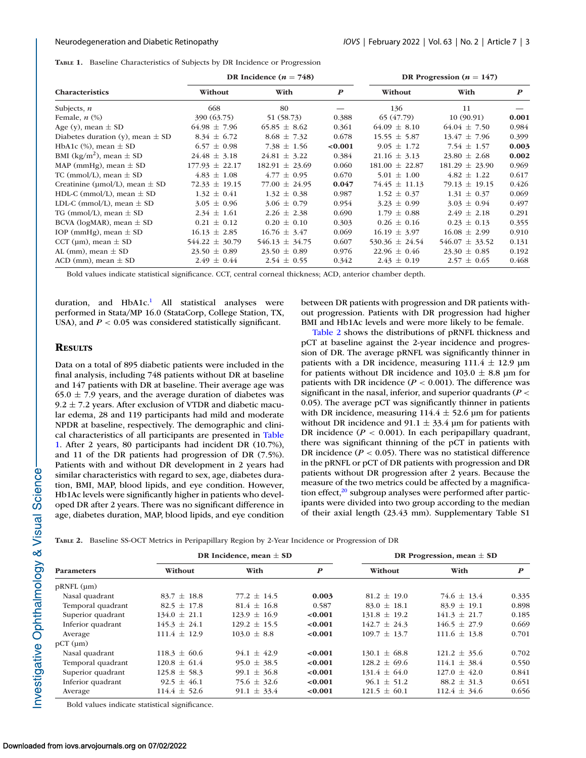**TABLE 1.** Baseline Characteristics of Subjects by DR Incidence or Progression

|                                          | DR Incidence ( $n = 748$ ) |                    |                  | DR Progression ( $n = 147$ ) |                    |                  |
|------------------------------------------|----------------------------|--------------------|------------------|------------------------------|--------------------|------------------|
| <b>Characteristics</b>                   | Without                    | With               | $\boldsymbol{P}$ | Without                      | With               | $\boldsymbol{P}$ |
| Subjects, $n$                            | 668                        | 80                 |                  | 136                          | 11                 |                  |
| Female, $n$ $(\%)$                       | 390 (63.75)                | 51 (58.73)         | 0.388            | 65 (47.79)                   | 10(90.91)          | 0.001            |
| Age (y), mean $\pm$ SD                   | $64.98 \pm 7.96$           | $65.85 \pm 8.62$   | 0.361            | $64.09 \pm 8.10$             | $64.04 \pm 7.50$   | 0.984            |
| Diabetes duration (y), mean $\pm$ SD     | $8.34 \pm 6.72$            | $8.68 \pm 7.32$    | 0.678            | $15.55 \pm 5.87$             | $13.47 \pm 7.96$   | 0.399            |
| HbA1c $(\%)$ , mean $\pm$ SD             | $6.57 \pm 0.98$            | 7.38 $\pm$ 1.56    | < 0.001          | $9.05 \pm 1.72$              | 7.54 $\pm$ 1.57    | 0.003            |
| BMI (kg/m <sup>2</sup> ), mean $\pm$ SD  | $24.48 \pm 3.18$           | $24.81 \pm 3.22$   | 0.384            | $21.16 \pm 3.13$             | $23.80 \pm 2.68$   | 0.002            |
| MAP (mmHg), mean $\pm$ SD                | $177.93 \pm 22.17$         | $182.91 \pm 23.69$ | 0.060            | $181.00 \pm 22.87$           | $181.29 \pm 23.90$ | 0.969            |
| TC (mmol/L), mean $\pm$ SD               | $4.83 \pm 1.08$            | $4.77 \pm 0.95$    | 0.670            | $5.01 \pm 1.00$              | $4.82 \pm 1.22$    | 0.617            |
| Creatinine ( $\mu$ mol/L), mean $\pm$ SD | $72.33 \pm 19.15$          | $77.00 \pm 24.95$  | 0.047            | $74.45 \pm 11.13$            | $79.13 \pm 19.15$  | 0.426            |
| HDL-C (mmol/L), mean $\pm$ SD            | $1.32 \pm 0.41$            | $1.32 \pm 0.38$    | 0.987            | $1.52 \pm 0.37$              | $1.31 \pm 0.37$    | 0.069            |
| LDL-C (mmol/L), mean $\pm$ SD            | $3.05 \pm 0.96$            | $3.06 \pm 0.79$    | 0.954            | $3.23 \pm 0.99$              | $3.03 \pm 0.94$    | 0.497            |
| TG (mmol/L), mean $\pm$ SD               | $2.34 \pm 1.61$            | $2.26 \pm 2.38$    | 0.690            | $1.79 \pm 0.88$              | $2.49 \pm 2.18$    | 0.291            |
| BCVA (logMAR), mean $\pm$ SD             | $0.21 \pm 0.12$            | $0.20 \pm 0.10$    | 0.303            | $0.26 \pm 0.16$              | $0.23 \pm 0.13$    | 0.355            |
| IOP (mmHg), mean $\pm$ SD                | $16.13 \pm 2.85$           | $16.76 \pm 3.47$   | 0.069            | $16.19 \pm 3.97$             | $16.08 \pm 2.99$   | 0.910            |
| CCT ( $\mu$ m), mean $\pm$ SD            | $544.22 \pm 30.79$         | $546.13 \pm 34.75$ | 0.607            | $530.36 \pm 24.54$           | $546.07 \pm 33.52$ | 0.131            |
| AL (mm), mean $\pm$ SD                   | $23.50 \pm 0.89$           | $23.50 \pm 0.89$   | 0.976            | $22.96 \pm 0.46$             | $23.30 \pm 0.85$   | 0.192            |
| ACD (mm), mean $\pm$ SD                  | $2.49 \pm 0.44$            | $2.54 \pm 0.55$    | 0.342            | $2.43 \pm 0.19$              | $2.57 \pm 0.65$    | 0.468            |

Bold values indicate statistical significance. CCT, central corneal thickness; ACD, anterior chamber depth.

duration, and HbA1c.<sup>1</sup> All statistical analyses were performed in Stata/MP 16.0 (StataCorp, College Station, TX, USA), and  $P < 0.05$  was considered statistically significant.

# between DR patients with progression and DR patients without progression. Patients with DR progression had higher BMI and Hb1Ac levels and were more likely to be female.

# **RESULTS**

Data on a total of 895 diabetic patients were included in the final analysis, including 748 patients without DR at baseline and 147 patients with DR at baseline. Their average age was  $65.0 \pm 7.9$  years, and the average duration of diabetes was  $9.2 \pm 7.2$  years. After exclusion of VTDR and diabetic macular edema, 28 and 119 participants had mild and moderate NPDR at baseline, respectively. The demographic and clinical characteristics of all participants are presented in Table 1. After 2 years, 80 participants had incident DR (10.7%), and 11 of the DR patients had progression of DR (7.5%). Patients with and without DR development in 2 years had similar characteristics with regard to sex, age, diabetes duration, BMI, MAP, blood lipids, and eye condition. However, Hb1Ac levels were significantly higher in patients who developed DR after 2 years. There was no significant difference in age, diabetes duration, MAP, blood lipids, and eye condition

Table 2 shows the distributions of pRNFL thickness and pCT at baseline against the 2-year incidence and progression of DR. The average pRNFL was significantly thinner in patients with a DR incidence, measuring  $111.4 \pm 12.9$  µm for patients without DR incidence and  $103.0 \pm 8.8$  µm for patients with DR incidence  $(P < 0.001)$ . The difference was significant in the nasal, inferior, and superior quadrants (*P* < 0.05). The average pCT was significantly thinner in patients with DR incidence, measuring  $114.4 \pm 52.6$  µm for patients without DR incidence and  $91.1 \pm 33.4$  µm for patients with DR incidence  $(P < 0.001)$ . In each peripapillary quadrant, there was significant thinning of the pCT in patients with DR incidence  $(P < 0.05)$ . There was no statistical difference in the pRNFL or pCT of DR patients with progression and DR patients without DR progression after 2 years. Because the measure of the two metrics could be affected by a magnification effect, $20$  subgroup analyses were performed after participants were divided into two group according to the median of their axial length (23.43 mm). Supplementary Table S1

|  | TABLE 2. Baseline SS-OCT Metrics in Peripapillary Region by 2-Year Incidence or Progression of DR |
|--|---------------------------------------------------------------------------------------------------|
|--|---------------------------------------------------------------------------------------------------|

| <b>Parameters</b>  | DR Incidence, mean $\pm$ SD |                  |                  | DR Progression, mean $\pm$ SD |                  |                  |
|--------------------|-----------------------------|------------------|------------------|-------------------------------|------------------|------------------|
|                    | Without                     | With             | $\boldsymbol{P}$ | Without                       | With             | $\boldsymbol{P}$ |
| $pRNFL$ ( $\mu$ m) |                             |                  |                  |                               |                  |                  |
| Nasal quadrant     | $83.7 \pm 18.8$             | $77.2 \pm 14.5$  | 0.003            | $81.2 \pm 19.0$               | $74.6 \pm 13.4$  | 0.335            |
| Temporal quadrant  | $82.5 \pm 17.8$             | $81.4 \pm 16.8$  | 0.587            | $83.0 \pm 18.1$               | $83.9 \pm 19.1$  | 0.898            |
| Superior quadrant  | $134.0 \pm 21.1$            | $123.9 \pm 16.9$ | < 0.001          | $131.8 \pm 19.2$              | $141.3 \pm 21.7$ | 0.185            |
| Inferior quadrant  | $145.3 \pm 24.1$            | $129.2 \pm 15.5$ | < 0.001          | $142.7 \pm 24.3$              | $146.5 \pm 27.9$ | 0.669            |
| Average            | $111.4 \pm 12.9$            | $103.0 \pm 8.8$  | < 0.001          | $109.7 \pm 13.7$              | $111.6 \pm 13.8$ | 0.701            |
| $pCT$ (um)         |                             |                  |                  |                               |                  |                  |
| Nasal quadrant     | $118.3 \pm 60.6$            | $94.1 \pm 42.9$  | < 0.001          | $130.1 \pm 68.8$              | $121.2 \pm 35.6$ | 0.702            |
| Temporal quadrant  | $120.8 \pm 61.4$            | $95.0 \pm 38.5$  | < 0.001          | $128.2 \pm 69.6$              | $114.1 \pm 38.4$ | 0.550            |
| Superior quadrant  | $125.8 \pm 58.3$            | $99.1 \pm 36.8$  | < 0.001          | $131.4 \pm 64.0$              | $127.0 \pm 42.0$ | 0.841            |
| Inferior quadrant  | $92.5 \pm 46.1$             | $75.6 \pm 32.6$  | < 0.001          | $96.1 \pm 51.2$               | $88.2 \pm 31.3$  | 0.651            |
| Average            | $114.4 \pm 52.6$            | $91.1 \pm 33.4$  | < 0.001          | $121.5 \pm 60.1$              | $112.4 \pm 34.6$ | 0.656            |

Bold values indicate statistical significance.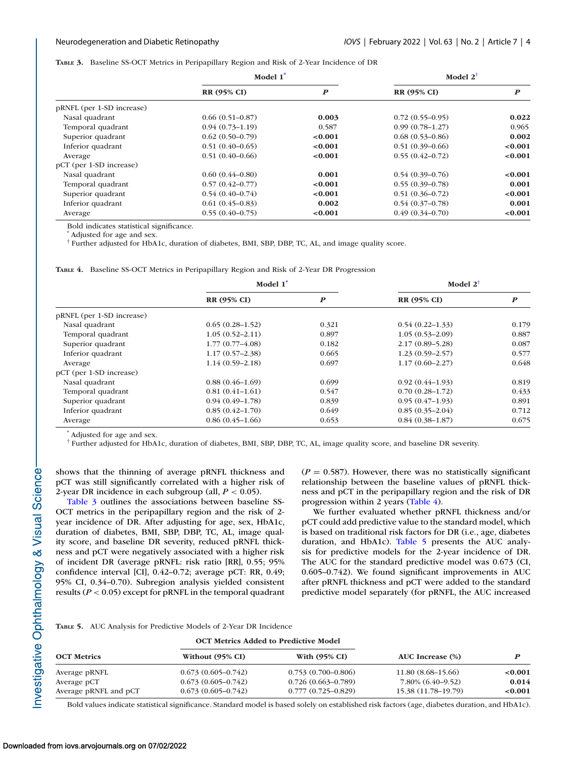**TABLE 3.** Baseline SS-OCT Metrics in Peripapillary Region and Risk of 2-Year Incidence of DR

|                           | Model 1 <sup>*</sup> |                  | Model $2^{\dagger}$ |                  |  |
|---------------------------|----------------------|------------------|---------------------|------------------|--|
|                           | <b>RR (95% CI)</b>   | $\boldsymbol{P}$ | <b>RR (95% CI)</b>  | $\boldsymbol{P}$ |  |
| pRNFL (per 1-SD increase) |                      |                  |                     |                  |  |
| Nasal quadrant            | $0.66(0.51-0.87)$    | 0.003            | $0.72(0.55-0.95)$   | 0.022            |  |
| Temporal quadrant         | $0.94(0.73 - 1.19)$  | 0.587            | $0.99(0.78 - 1.27)$ | 0.965            |  |
| Superior quadrant         | $0.62(0.50-0.79)$    | < 0.001          | $0.68(0.53 - 0.86)$ | 0.002            |  |
| Inferior quadrant         | $0.51(0.40-0.65)$    | < 0.001          | $0.51(0.39-0.66)$   | < 0.001          |  |
| Average                   | $0.51(0.40-0.66)$    | < 0.001          | $0.55(0.42 - 0.72)$ | < 0.001          |  |
| pCT (per 1-SD increase)   |                      |                  |                     |                  |  |
| Nasal quadrant            | $0.60(0.44 - 0.80)$  | 0.001            | $0.54(0.39-0.76)$   | < 0.001          |  |
| Temporal quadrant         | $0.57(0.42 - 0.77)$  | < 0.001          | $0.55(0.39-0.78)$   | 0.001            |  |
| Superior quadrant         | $0.54(0.40-0.74)$    | < 0.001          | $0.51(0.36 - 0.72)$ | < 0.001          |  |
| Inferior quadrant         | $0.61(0.45-0.83)$    | 0.002            | $0.54(0.37-0.78)$   | 0.001            |  |
| Average                   | $0.55(0.40-0.75)$    | < 0.001          | $0.49(0.34 - 0.70)$ | < 0.001          |  |

Bold indicates statistical significance.

\* Adjusted for age and sex.

† Further adjusted for HbA1c, duration of diabetes, BMI, SBP, DBP, TC, AL, and image quality score.

**TABLE 4.** Baseline SS-OCT Metrics in Peripapillary Region and Risk of 2-Year DR Progression

|                           | Model 1 <sup>*</sup> |                  | Model $2^{\dagger}$ |                  |
|---------------------------|----------------------|------------------|---------------------|------------------|
|                           | <b>RR (95% CI)</b>   | $\boldsymbol{P}$ | <b>RR (95% CI)</b>  | $\boldsymbol{P}$ |
| pRNFL (per 1-SD increase) |                      |                  |                     |                  |
| Nasal quadrant            | $0.65(0.28-1.52)$    | 0.321            | $0.54(0.22 - 1.33)$ | 0.179            |
| Temporal quadrant         | $1.05(0.52 - 2.11)$  | 0.897            | $1.05(0.53 - 2.09)$ | 0.887            |
| Superior quadrant         | $1.77(0.77 - 4.08)$  | 0.182            | $2.17(0.89 - 5.28)$ | 0.087            |
| Inferior quadrant         | $1.17(0.57-2.38)$    | 0.665            | $1.23(0.59-2.57)$   | 0.577            |
| Average                   | $1.14(0.59 - 2.18)$  | 0.697            | $1.17(0.60 - 2.27)$ | 0.648            |
| pCT (per 1-SD increase)   |                      |                  |                     |                  |
| Nasal quadrant            | $0.88(0.46-1.69)$    | 0.699            | $0.92(0.44-1.93)$   | 0.819            |
| Temporal quadrant         | $0.81(0.41-1.61)$    | 0.547            | $0.70(0.28 - 1.72)$ | 0.433            |
| Superior quadrant         | $0.94(0.49-1.78)$    | 0.839            | $0.95(0.47-1.93)$   | 0.891            |
| Inferior quadrant         | $0.85(0.42 - 1.70)$  | 0.649            | $0.85(0.35-2.04)$   | 0.712            |
| Average                   | $0.86(0.45-1.66)$    | 0.653            | $0.84(0.38-1.87)$   | 0.675            |

\* Adjusted for age and sex.

† Further adjusted for HbA1c, duration of diabetes, BMI, SBP, DBP, TC, AL, image quality score, and baseline DR severity.

shows that the thinning of average pRNFL thickness and pCT was still significantly correlated with a higher risk of 2-year DR incidence in each subgroup (all,  $P < 0.05$ ).

Table 3 outlines the associations between baseline SS-OCT metrics in the peripapillary region and the risk of 2 year incidence of DR. After adjusting for age, sex, HbA1c, duration of diabetes, BMI, SBP, DBP, TC, AL, image quality score, and baseline DR severity, reduced pRNFL thickness and pCT were negatively associated with a higher risk of incident DR (average pRNFL: risk ratio [RR], 0.55; 95% confidence interval [CI], 0.42–0.72; average pCT: RR, 0.49; 95% CI, 0.34–0.70). Subregion analysis yielded consistent results (*P* < 0.05) except for pRNFL in the temporal quadrant  $(P = 0.587)$ . However, there was no statistically significant relationship between the baseline values of pRNFL thickness and pCT in the peripapillary region and the risk of DR progression within 2 years (Table 4).

We further evaluated whether pRNFL thickness and/or pCT could add predictive value to the standard model, which is based on traditional risk factors for DR (i.e., age, diabetes duration, and HbA1c). Table 5 presents the AUC analysis for predictive models for the 2-year incidence of DR. The AUC for the standard predictive model was 0.673 (CI, 0.605–0.742). We found significant improvements in AUC after pRNFL thickness and pCT were added to the standard predictive model separately (for pRNFL, the AUC increased

**TABLE 5.** AUC Analysis for Predictive Models of 2-Year DR Incidence

|                       |                        | <b>OCT Metrics Added to Predictive Model</b> | AUC Increase (%)    |         |
|-----------------------|------------------------|----------------------------------------------|---------------------|---------|
| <b>OCT Metrics</b>    | Without (95% CI)       | With $(95\% \text{ CI})$                     |                     |         |
| Average pRNFL         | $0.673(0.605 - 0.742)$ | $0.753(0.700 - 0.806)$                       | $11.80(8.68-15.66)$ | < 0.001 |
| Average pCT           | $0.673(0.605 - 0.742)$ | $0.726(0.663 - 0.789)$                       | 7.80% (6.40–9.52)   | 0.014   |
| Average pRNFL and pCT | $0.673(0.605 - 0.742)$ | $0.777(0.725 - 0.829)$                       | 15.38 (11.78–19.79) | < 0.001 |

Bold values indicate statistical significance. Standard model is based solely on established risk factors (age, diabetes duration, and HbA1c).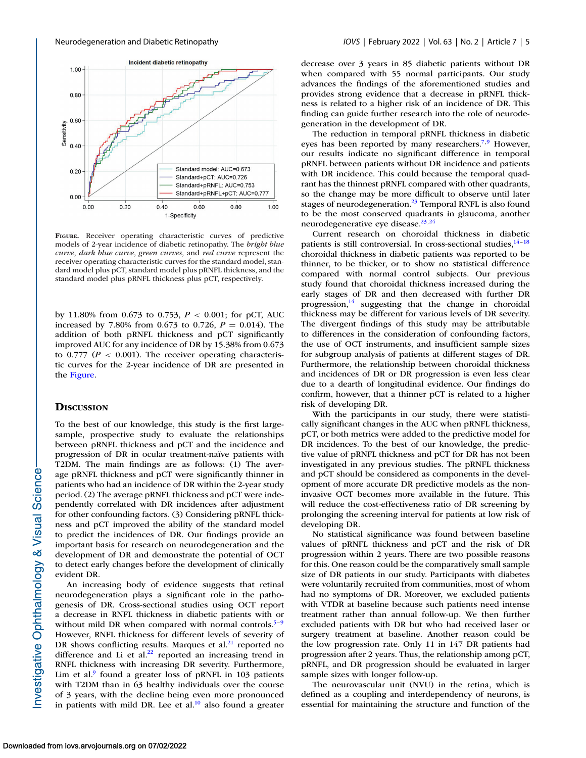

**FIGURE.** Receiver operating characteristic curves of predictive models of 2-year incidence of diabetic retinopathy. The *bright blue curve*, *dark blue curve*, *green curves*, and *red curve* represent the receiver operating characteristic curves for the standard model, standard model plus pCT, standard model plus pRNFL thickness, and the standard model plus pRNFL thickness plus pCT, respectively.

by 11.80% from 0.673 to 0.753, *P* < 0.001; for pCT, AUC increased by 7.80% from 0.673 to 0.726,  $P = 0.014$ ). The addition of both pRNFL thickness and pCT significantly improved AUC for any incidence of DR by 15.38% from 0.673 to  $0.777$  ( $P < 0.001$ ). The receiver operating characteristic curves for the 2-year incidence of DR are presented in the Figure.

## **DISCUSSION**

To the best of our knowledge, this study is the first largesample, prospective study to evaluate the relationships between pRNFL thickness and pCT and the incidence and progression of DR in ocular treatment-naïve patients with T2DM. The main findings are as follows: (1) The average pRNFL thickness and pCT were significantly thinner in patients who had an incidence of DR within the 2-year study period. (2) The average pRNFL thickness and pCT were independently correlated with DR incidences after adjustment for other confounding factors. (3) Considering pRNFL thickness and pCT improved the ability of the standard model to predict the incidences of DR. Our findings provide an important basis for research on neurodegeneration and the development of DR and demonstrate the potential of OCT to detect early changes before the development of clinically evident DR.

An increasing body of evidence suggests that retinal neurodegeneration plays a significant role in the pathogenesis of DR. Cross-sectional studies using OCT report a decrease in RNFL thickness in diabetic patients with or without mild DR when compared with normal controls. $5-9$  $5-9$ However, RNFL thickness for different levels of severity of DR shows conflicting results. Marques et al. $^{21}$  reported no difference and Li et al. $^{22}$  reported an increasing trend in RNFL thickness with increasing DR severity. Furthermore, Lim et al. $9$  found a greater loss of pRNFL in 103 patients with T2DM than in 63 healthy individuals over the course of 3 years, with the decline being even more pronounced in patients with mild DR. Lee et al. $10$  also found a greater decrease over 3 years in 85 diabetic patients without DR when compared with 55 normal participants. Our study advances the findings of the aforementioned studies and provides strong evidence that a decrease in pRNFL thickness is related to a higher risk of an incidence of DR. This finding can guide further research into the role of neurodegeneration in the development of DR.

The reduction in temporal pRNFL thickness in diabetic eyes has been reported by many researchers.<sup>7,[9](#page-6-0)</sup> However, our results indicate no significant difference in temporal pRNFL between patients without DR incidence and patients with DR incidence. This could because the temporal quadrant has the thinnest pRNFL compared with other quadrants, so the change may be more difficult to observe until later stages of neurodegeneration.<sup>23</sup> Temporal RNFL is also found to be the most conserved quadrants in glaucoma, another neurodegenerative eye disease. $23,24$ 

Current research on choroidal thickness in diabetic patients is still controversial. In cross-sectional studies, $14-18$ choroidal thickness in diabetic patients was reported to be thinner, to be thicker, or to show no statistical difference compared with normal control subjects. Our previous study found that choroidal thickness increased during the early stages of DR and then decreased with further DR progression, $14$  suggesting that the change in choroidal thickness may be different for various levels of DR severity. The divergent findings of this study may be attributable to differences in the consideration of confounding factors, the use of OCT instruments, and insufficient sample sizes for subgroup analysis of patients at different stages of DR. Furthermore, the relationship between choroidal thickness and incidences of DR or DR progression is even less clear due to a dearth of longitudinal evidence. Our findings do confirm, however, that a thinner pCT is related to a higher risk of developing DR.

With the participants in our study, there were statistically significant changes in the AUC when pRNFL thickness, pCT, or both metrics were added to the predictive model for DR incidences. To the best of our knowledge, the predictive value of pRNFL thickness and pCT for DR has not been investigated in any previous studies. The pRNFL thickness and pCT should be considered as components in the development of more accurate DR predictive models as the noninvasive OCT becomes more available in the future. This will reduce the cost-effectiveness ratio of DR screening by prolonging the screening interval for patients at low risk of developing DR.

No statistical significance was found between baseline values of pRNFL thickness and pCT and the risk of DR progression within 2 years. There are two possible reasons for this. One reason could be the comparatively small sample size of DR patients in our study. Participants with diabetes were voluntarily recruited from communities, most of whom had no symptoms of DR. Moreover, we excluded patients with VTDR at baseline because such patients need intense treatment rather than annual follow-up. We then further excluded patients with DR but who had received laser or surgery treatment at baseline. Another reason could be the low progression rate. Only 11 in 147 DR patients had progression after 2 years. Thus, the relationship among pCT, pRNFL, and DR progression should be evaluated in larger sample sizes with longer follow-up.

The neurovascular unit (NVU) in the retina, which is defined as a coupling and interdependency of neurons, is essential for maintaining the structure and function of the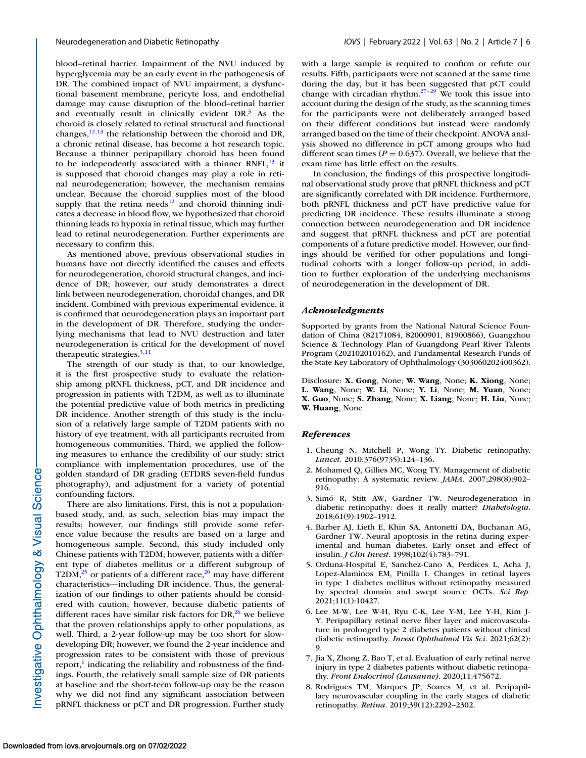<span id="page-5-0"></span>blood–retinal barrier. Impairment of the NVU induced by hyperglycemia may be an early event in the pathogenesis of DR. The combined impact of NVU impairment, a dysfunctional basement membrane, pericyte loss, and endothelial damage may cause disruption of the blood–retinal barrier and eventually result in clinically evident  $DR<sup>3</sup>$  As the choroid is closely related to retinal structural and functional changes, $12,13$  the relationship between the choroid and DR, a chronic retinal disease, has become a hot research topic. Because a thinner peripapillary choroid has been found to be independently associated with a thinner RNFL, $^{13}$  it is supposed that choroid changes may play a role in retinal neurodegeneration; however, the mechanism remains unclear. Because the choroid supplies most of the blood supply that the retina needs $12$  and choroid thinning indicates a decrease in blood flow, we hypothesized that choroid thinning leads to hypoxia in retinal tissue, which may further lead to retinal neurodegeneration. Further experiments are necessary to confirm this.

As mentioned above, previous observational studies in humans have not directly identified the causes and effects for neurodegeneration, choroid structural changes, and incidence of DR; however, our study demonstrates a direct link between neurodegeneration, choroidal changes, and DR incident. Combined with previous experimental evidence, it is confirmed that neurodegeneration plays an important part in the development of DR. Therefore, studying the underlying mechanisms that lead to NVU destruction and later neurodegeneration is critical for the development of novel therapeutic strategies. $3,11$  $3,11$ 

The strength of our study is that, to our knowledge, it is the first prospective study to evaluate the relationship among pRNFL thickness, pCT, and DR incidence and progression in patients with T2DM, as well as to illuminate the potential predictive value of both metrics in predicting DR incidence. Another strength of this study is the inclusion of a relatively large sample of T2DM patients with no history of eye treatment, with all participants recruited from homogeneous communities. Third, we applied the following measures to enhance the credibility of our study: strict compliance with implementation procedures, use of the golden standard of DR grading (ETDRS seven-field fundus photography), and adjustment for a variety of potential confounding factors.

There are also limitations. First, this is not a populationbased study, and, as such, selection bias may impact the results; however, our findings still provide some reference value because the results are based on a large and homogeneous sample. Second, this study included only Chinese patients with T2DM; however, patients with a different type of diabetes mellitus or a different subgroup of T2DM, $^{25}$  or patients of a different race, $^{26}$  may have different characteristics—including DR incidence. Thus, the generalization of our findings to other patients should be considered with caution; however, because diabetic patients of different races have similar risk factors for  $DR<sub>1</sub><sup>26</sup>$  we believe that the proven relationships apply to other populations, as well. Third, a 2-year follow-up may be too short for slowdeveloping DR; however, we found the 2-year incidence and progression rates to be consistent with those of previous report, $\frac{1}{1}$  indicating the reliability and robustness of the findings. Fourth, the relatively small sample size of DR patients at baseline and the short-term follow-up may be the reason why we did not find any significant association between pRNFL thickness or pCT and DR progression. Further study

with a large sample is required to confirm or refute our results. Fifth, participants were not scanned at the same time during the day, but it has been suggested that pCT could change with circadian rhythm. $27-29$  We took this issue into account during the design of the study, as the scanning times for the participants were not deliberately arranged based on their different conditions but instead were randomly arranged based on the time of their checkpoint. ANOVA analysis showed no difference in pCT among groups who had different scan times ( $P = 0.637$ ). Overall, we believe that the exam time has little effect on the results.

In conclusion, the findings of this prospective longitudinal observational study prove that pRNFL thickness and pCT are significantly correlated with DR incidence. Furthermore, both pRNFL thickness and pCT have predictive value for predicting DR incidence. These results illuminate a strong connection between neurodegeneration and DR incidence and suggest that pRNFL thickness and pCT are potential components of a future predictive model. However, our findings should be verified for other populations and longitudinal cohorts with a longer follow-up period, in addition to further exploration of the underlying mechanisms of neurodegeneration in the development of DR.

### *Acknowledgments*

Supported by grants from the National Natural Science Foundation of China (82171084, 82000901, 81900866), Guangzhou Science & Technology Plan of Guangdong Pearl River Talents Program (202102010162), and Fundamental Research Funds of the State Key Laboratory of Ophthalmology (303060202400362).

Disclosure: **X. Gong**, None; **W. Wang**, None; **K. Xiong**, None; **L. Wang**, None; **W. Li**, None; **Y. Li**, None; **M. Yuan**, None; **X. Guo**, None; **S. Zhang**, None; **X. Liang**, None; **H. Liu**, None; **W. Huang**, None

### *References*

- 1. Cheung N, Mitchell P, Wong TY. Diabetic retinopathy. *Lancet.* 2010;376(9735):124–136.
- 2. Mohamed Q, Gillies MC, Wong TY. Management of diabetic retinopathy: A systematic review. *JAMA.* 2007;298(8):902– 916.
- 3. Simó R, Stitt AW, Gardner TW. Neurodegeneration in diabetic retinopathy: does it really matter? *Diabetologia*. 2018;61(9):1902–1912.
- 4. Barber AJ, Lieth E, Khin SA, Antonetti DA, Buchanan AG, Gardner TW. Neural apoptosis in the retina during experimental and human diabetes. Early onset and effect of insulin. *J Clin Invest*. 1998;102(4):783–791.
- 5. Orduna-Hospital E, Sanchez-Cano A, Perdices L, Acha J, Lopez-Alaminos EM, Pinilla I. Changes in retinal layers in type 1 diabetes mellitus without retinopathy measured by spectral domain and swept source OCTs. *Sci Rep.* 2021;11(1):10427.
- 6. Lee M-W, Lee W-H, Ryu C-K, Lee Y-M, Lee Y-H, Kim J-Y. Peripapillary retinal nerve fiber layer and microvasculature in prolonged type 2 diabetes patients without clinical diabetic retinopathy. *Invest Ophthalmol Vis Sci*. 2021;62(2): 9.
- 7. Jia X, Zhong Z, Bao T, et al. Evaluation of early retinal nerve injury in type 2 diabetes patients without diabetic retinopathy. *Front Endocrinol (Lausanne)*. 2020;11:475672.
- 8. Rodrigues TM, Marques JP, Soares M, et al. Peripapillary neurovascular coupling in the early stages of diabetic retinopathy. *Retina*. 2019;39(12):2292–2302.